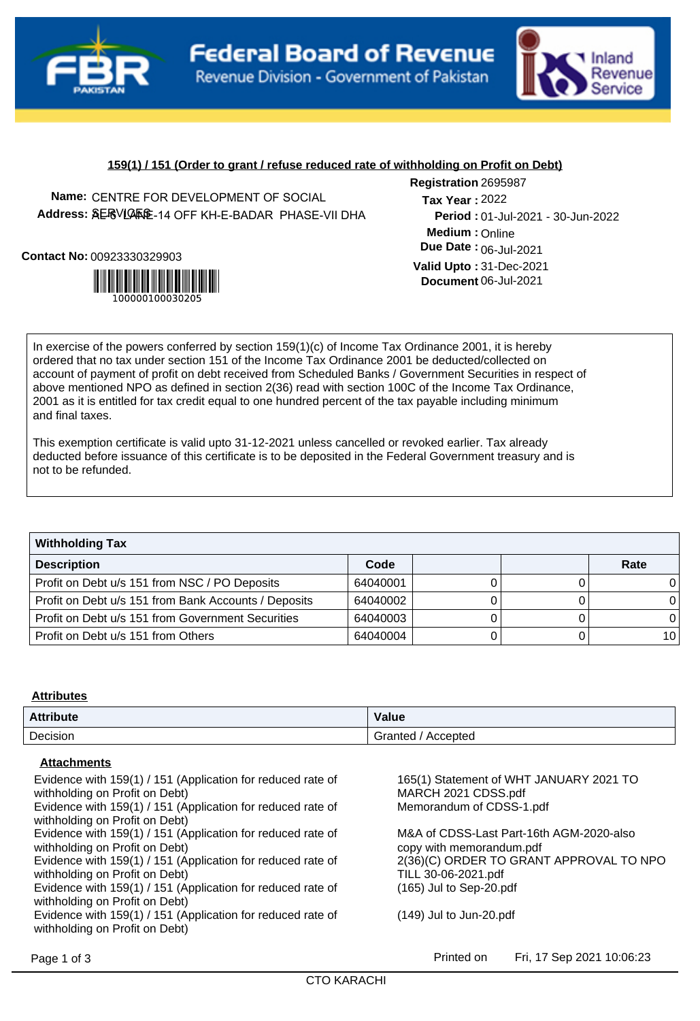



# **159(1) / 151 (Order to grant / refuse reduced rate of withholding on Profit on Debt)**

**Name:** CENTRE FOR DEVELOPMENT OF SOCIAL **Address: 《ERVLA版E-14 OFF KH-E-BADAR\_PHASE-VII DHA** 

**Contact No:**00923330329903



**Registration** 2695987 **Medium :** Online 01-Jul-2021 - 30-Jun-2022 **Period : Due Date : 06-Jul-2021 Valid Upto :** 31-Dec-2021 **Document** 06-Jul-2021 2022 **Tax Year :**

In exercise of the powers conferred by section 159(1)(c) of Income Tax Ordinance 2001, it is hereby ordered that no tax under section 151 of the Income Tax Ordinance 2001 be deducted/collected on account of payment of profit on debt received from Scheduled Banks / Government Securities in respect of above mentioned NPO as defined in section 2(36) read with section 100C of the Income Tax Ordinance, 2001 as it is entitled for tax credit equal to one hundred percent of the tax payable including minimum and final taxes.

This exemption certificate is valid upto 31-12-2021 unless cancelled or revoked earlier. Tax already deducted before issuance of this certificate is to be deposited in the Federal Government treasury and is not to be refunded.

| <b>Withholding Tax</b>                               |          |  |  |      |  |
|------------------------------------------------------|----------|--|--|------|--|
| <b>Description</b>                                   | Code     |  |  | Rate |  |
| Profit on Debt u/s 151 from NSC / PO Deposits        | 64040001 |  |  |      |  |
| Profit on Debt u/s 151 from Bank Accounts / Deposits | 64040002 |  |  |      |  |
| Profit on Debt u/s 151 from Government Securities    | 64040003 |  |  |      |  |
| Profit on Debt u/s 151 from Others                   | 64040004 |  |  | ا 10 |  |

## **Attributes**

| <b>Attribute</b> | Value               |  |
|------------------|---------------------|--|
| Decision         | Accepted<br>Granted |  |

### **Attachments**

Evidence with 159(1) / 151 (Application for reduced rate of withholding on Profit on Debt) Evidence with 159(1) / 151 (Application for reduced rate of Memorandum of CDSS-1.pdf withholding on Profit on Debt) Evidence with 159(1) / 151 (Application for reduced rate of withholding on Profit on Debt) Evidence with 159(1) / 151 (Application for reduced rate of withholding on Profit on Debt) Evidence with 159(1) / 151 (Application for reduced rate of (165) Jul to Sep-20.pdf withholding on Profit on Debt) Evidence with 159(1) / 151 (Application for reduced rate of (149) Jul to Jun-20.pdf withholding on Profit on Debt) Page 1 of 3 **Printed on** Fri, 17 Sep 2021 10:06:23

165(1) Statement of WHT JANUARY 2021 TO MARCH 2021 CDSS.pdf

M&A of CDSS-Last Part-16th AGM-2020-also copy with memorandum.pdf 2(36)(C) ORDER TO GRANT APPROVAL TO NPO TILL 30-06-2021.pdf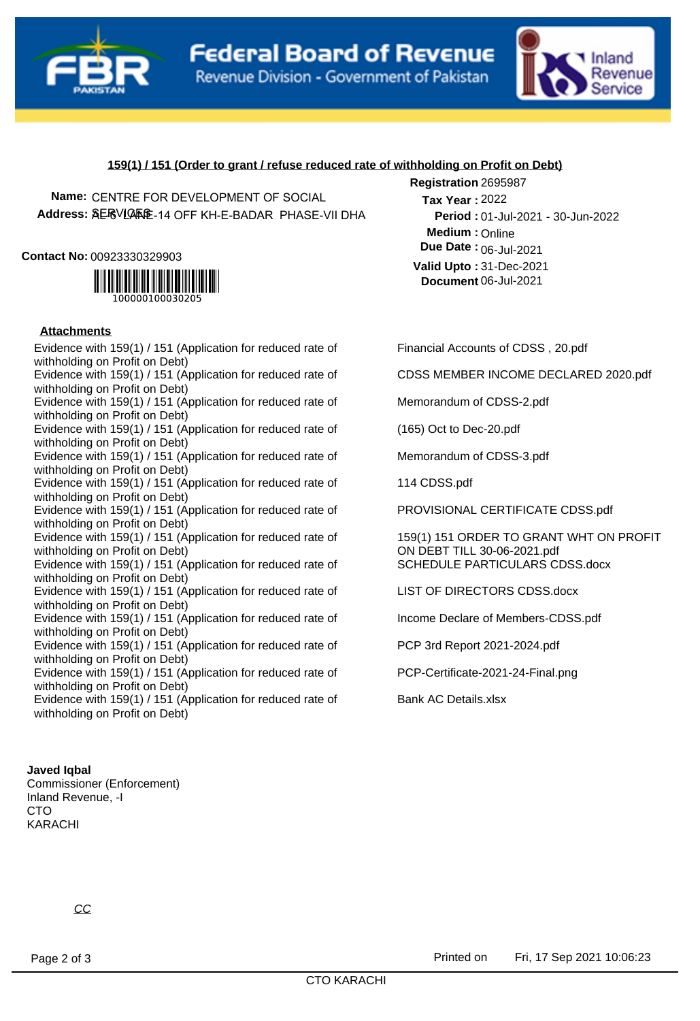



# **159(1) / 151 (Order to grant / refuse reduced rate of withholding on Profit on Debt)**

**Name:** CENTRE FOR DEVELOPMENT OF SOCIAL **Address: 《ERVLA版E-14 OFF KH-E-BADAR\_PHASE-VII DHA** 

#### **Contact No:**00923330329903



## **Attachments**

Evidence with 159(1) / 151 (Application for reduced rate of Financial Accounts of CDSS, 20.pdf withholding on Profit on Debt) Evidence with 159(1) / 151 (Application for reduced rate of CDSS MEMBER INCOME DECLARED 2020.pdf withholding on Profit on Debt) Evidence with 159(1) / 151 (Application for reduced rate of Memorandum of CDSS-2.pdf withholding on Profit on Debt) Evidence with 159(1) / 151 (Application for reduced rate of (165) Oct to Dec-20.pdf withholding on Profit on Debt) Evidence with 159(1) / 151 (Application for reduced rate of Memorandum of CDSS-3.pdf withholding on Profit on Debt) Evidence with 159(1) / 151 (Application for reduced rate of 114 CDSS.pdf withholding on Profit on Debt) Evidence with 159(1) / 151 (Application for reduced rate of PROVISIONAL CERTIFICATE CDSS.pdf withholding on Profit on Debt) Evidence with 159(1) / 151 (Application for reduced rate of withholding on Profit on Debt) Evidence with 159(1) / 151 (Application for reduced rate of SCHEDULE PARTICULARS CDSS.docx withholding on Profit on Debt) Evidence with 159(1) / 151 (Application for reduced rate of LIST OF DIRECTORS CDSS.docx withholding on Profit on Debt) Evidence with 159(1) / 151 (Application for reduced rate of Income Declare of Members-CDSS.pdf withholding on Profit on Debt) Evidence with 159(1) / 151 (Application for reduced rate of PCP 3rd Report 2021-2024.pdf withholding on Profit on Debt) Evidence with 159(1) / 151 (Application for reduced rate of PCP-Certificate-2021-24-Final.png withholding on Profit on Debt) Evidence with 159(1) / 151 (Application for reduced rate of Bank AC Details.xlsx withholding on Profit on Debt)

**Medium :** Online 01-Jul-2021 - 30-Jun-2022 **Period : Due Date : 06-Jul-2021 Valid Upto :** 31-Dec-2021 **Document** 06-Jul-2021 2022 **Tax Year :**

**Registration** 2695987

159(1) 151 ORDER TO GRANT WHT ON PROFIT ON DEBT TILL 30-06-2021.pdf

### **Javed Iqbal**

Commissioner (Enforcement) Inland Revenue, -I CTO KARACHI

CC